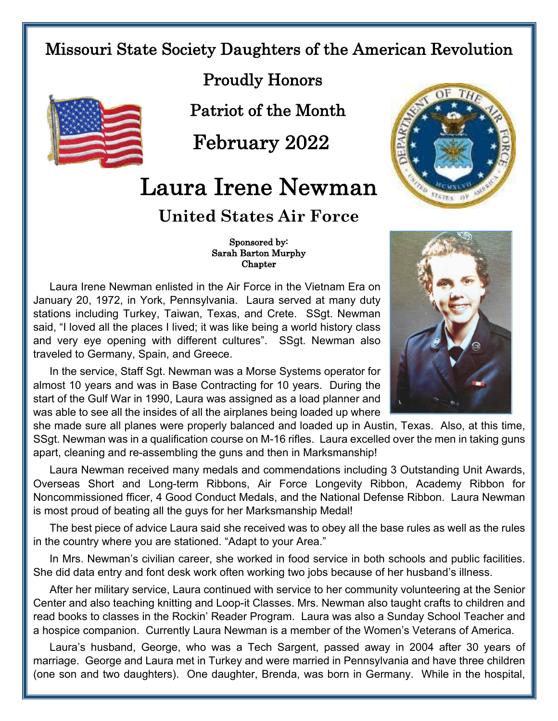## Missouri State Society Daughters of the American Revolution



Proudly Honors

Patriot of the Month

February 2022

## Laura Irene Newman

## **United States Air Force**

 Sponsored by: Sarah Barton Murphy Chapter

Laura Irene Newman enlisted in the Air Force in the Vietnam Era on January 20, 1972, in York, Pennsylvania. Laura served at many duty stations including Turkey, Taiwan, Texas, and Crete. SSgt. Newman said, "I loved all the places I lived; it was like being a world history class and very eye opening with different cultures". SSgt. Newman also traveled to Germany, Spain, and Greece.

In the service, Staff Sgt. Newman was a Morse Systems operator for almost 10 years and was in Base Contracting for 10 years. During the start of the Gulf War in 1990, Laura was assigned as a load planner and was able to see all the insides of all the airplanes being loaded up where

she made sure all planes were properly balanced and loaded up in Austin, Texas. Also, at this time, SSgt. Newman was in a qualification course on M-16 rifles. Laura excelled over the men in taking guns apart, cleaning and re-assembling the guns and then in Marksmanship!

Laura Newman received many medals and commendations including 3 Outstanding Unit Awards, Overseas Short and Long-term Ribbons, Air Force Longevity Ribbon, Academy Ribbon for Noncommissioned fficer, 4 Good Conduct Medals, and the National Defense Ribbon. Laura Newman is most proud of beating all the guys for her Marksmanship Medal!

The best piece of advice Laura said she received was to obey all the base rules as well as the rules in the country where you are stationed. "Adapt to your Area."

In Mrs. Newman's civilian career, she worked in food service in both schools and public facilities. She did data entry and font desk work often working two jobs because of her husband's illness.

After her military service, Laura continued with service to her community volunteering at the Senior Center and also teaching knitting and Loop-it Classes. Mrs. Newman also taught crafts to children and read books to classes in the Rockin' Reader Program. Laura was also a Sunday School Teacher and a hospice companion. Currently Laura Newman is a member of the Women's Veterans of America.

Laura's husband, George, who was a Tech Sargent, passed away in 2004 after 30 years of marriage. George and Laura met in Turkey and were married in Pennsylvania and have three children (one son and two daughters). One daughter, Brenda, was born in Germany. While in the hospital,